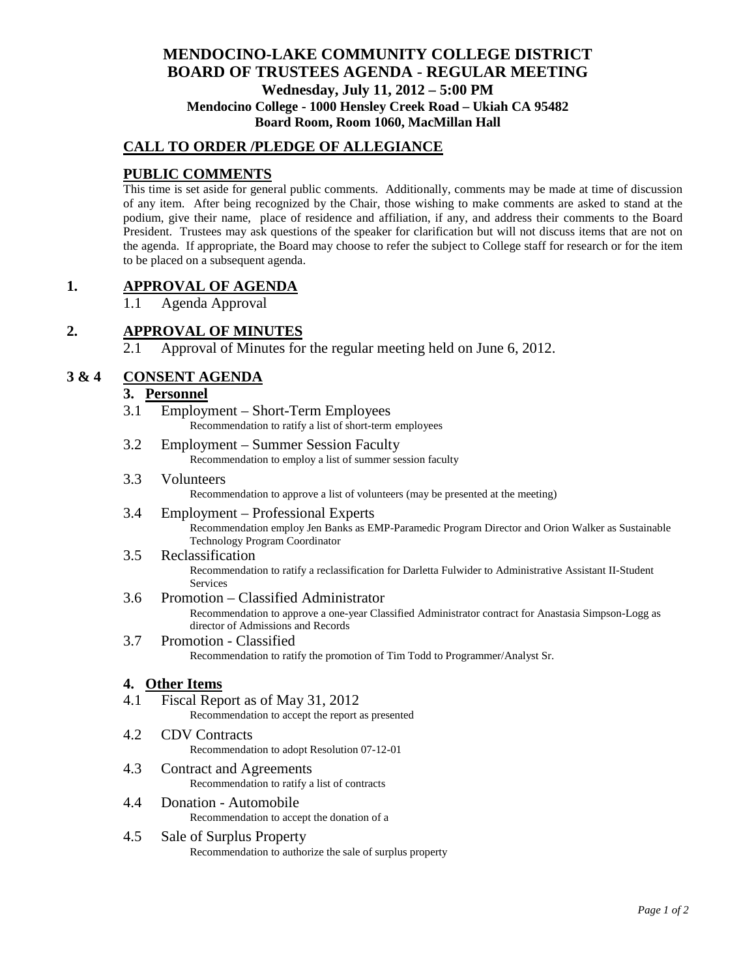# **MENDOCINO-LAKE COMMUNITY COLLEGE DISTRICT BOARD OF TRUSTEES AGENDA** - **REGULAR MEETING Wednesday, July 11, 2012 – 5:00 PM Mendocino College - 1000 Hensley Creek Road – Ukiah CA 95482 Board Room, Room 1060, MacMillan Hall**

## **CALL TO ORDER /PLEDGE OF ALLEGIANCE**

## **PUBLIC COMMENTS**

This time is set aside for general public comments. Additionally, comments may be made at time of discussion of any item. After being recognized by the Chair, those wishing to make comments are asked to stand at the podium, give their name, place of residence and affiliation, if any, and address their comments to the Board President. Trustees may ask questions of the speaker for clarification but will not discuss items that are not on the agenda. If appropriate, the Board may choose to refer the subject to College staff for research or for the item to be placed on a subsequent agenda.

### **1. APPROVAL OF AGENDA**

1.1 Agenda Approval

# **2. APPROVAL OF MINUTES**

2.1 Approval of Minutes for the regular meeting held on June 6, 2012.

# **3 & 4 CONSENT AGENDA**

### **3. Personnel**

- 3.1 Employment Short-Term Employees Recommendation to ratify a list of short-term employees
- 3.2 Employment Summer Session Faculty Recommendation to employ a list of summer session faculty
- 3.3 Volunteers

Recommendation to approve a list of volunteers (may be presented at the meeting)

3.4 Employment – Professional Experts Recommendation employ Jen Banks as EMP-Paramedic Program Director and Orion Walker as Sustainable Technology Program Coordinator

#### 3.5 Reclassification Recommendation to ratify a reclassification for Darletta Fulwider to Administrative Assistant II-Student Services

### 3.6 Promotion – Classified Administrator

Recommendation to approve a one-year Classified Administrator contract for Anastasia Simpson-Logg as director of Admissions and Records

#### 3.7 Promotion - Classified Recommendation to ratify the promotion of Tim Todd to Programmer/Analyst Sr.

#### **4. Other Items**

- 4.1 Fiscal Report as of May 31, 2012 Recommendation to accept the report as presented
- 4.2 CDV Contracts Recommendation to adopt Resolution 07-12-01
- 4.3 Contract and Agreements Recommendation to ratify a list of contracts
- 4.4 Donation Automobile Recommendation to accept the donation of a
- 4.5 Sale of Surplus Property Recommendation to authorize the sale of surplus property